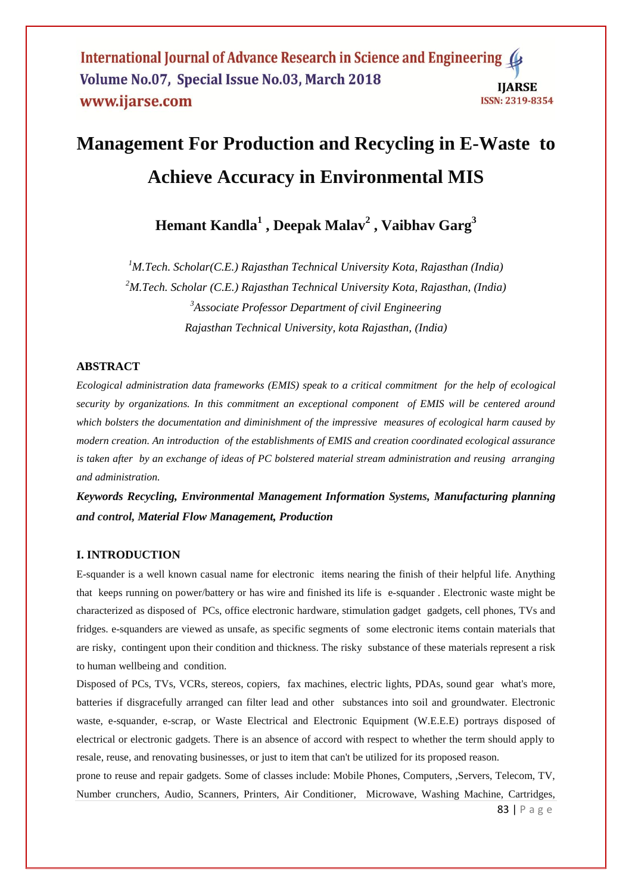# **Management For Production and Recycling in E-Waste to Achieve Accuracy in Environmental MIS**

**Hemant Kandla<sup>1</sup> , Deepak Malav<sup>2</sup> , Vaibhav Garg<sup>3</sup>**

*M.Tech. Scholar(C.E.) Rajasthan Technical University Kota, Rajasthan (India) M.Tech. Scholar (C.E.) Rajasthan Technical University Kota, Rajasthan, (India) Associate Professor Department of civil Engineering Rajasthan Technical University, kota Rajasthan, (India)*

## **ABSTRACT**

*Ecological administration data frameworks (EMIS) speak to a critical commitment for the help of ecological security by organizations. In this commitment an exceptional component of EMIS will be centered around which bolsters the documentation and diminishment of the impressive measures of ecological harm caused by modern creation. An introduction of the establishments of EMIS and creation coordinated ecological assurance is taken after by an exchange of ideas of PC bolstered material stream administration and reusing arranging and administration.*

*Keywords Recycling, Environmental Management Information Systems, Manufacturing planning and control, Material Flow Management, Production*

# **I. INTRODUCTION**

E-squander is a well known casual name for electronic items nearing the finish of their helpful life. Anything that keeps running on power/battery or has wire and finished its life is e-squander . Electronic waste might be characterized as disposed of PCs, office electronic hardware, stimulation gadget gadgets, cell phones, TVs and fridges. e-squanders are viewed as unsafe, as specific segments of some electronic items contain materials that are risky, contingent upon their condition and thickness. The risky substance of these materials represent a risk to human wellbeing and condition.

Disposed of PCs, TVs, VCRs, stereos, copiers, fax machines, electric lights, PDAs, sound gear what's more, batteries if disgracefully arranged can filter lead and other substances into soil and groundwater. Electronic waste, e-squander, e-scrap, or Waste Electrical and Electronic Equipment (W.E.E.E) portrays disposed of electrical or electronic gadgets. There is an absence of accord with respect to whether the term should apply to resale, reuse, and renovating businesses, or just to item that can't be utilized for its proposed reason.

prone to reuse and repair gadgets. Some of classes include: Mobile Phones, Computers, ,Servers, Telecom, TV, Number crunchers, Audio, Scanners, Printers, Air Conditioner, Microwave, Washing Machine, Cartridges,

83 | P a g e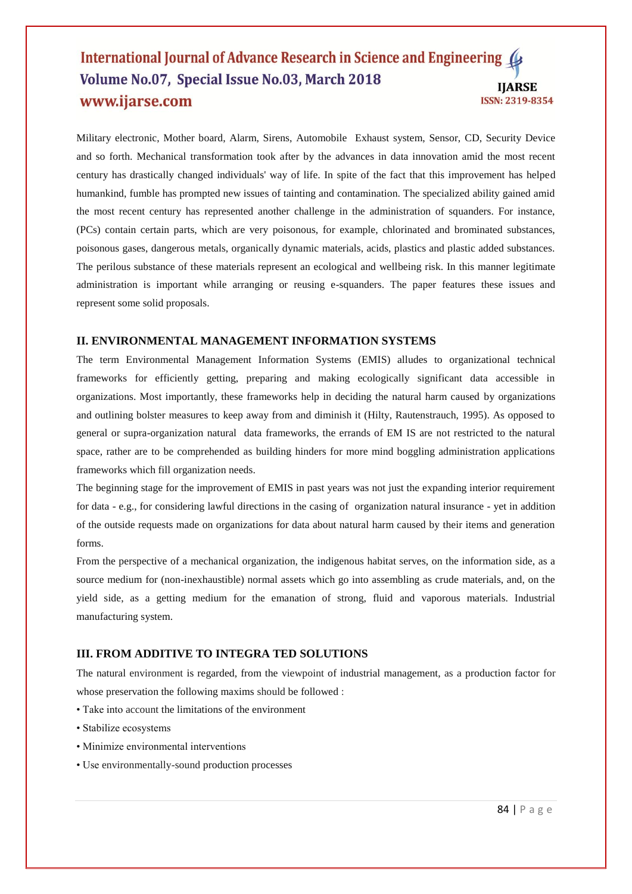Military electronic, Mother board, Alarm, Sirens, Automobile Exhaust system, Sensor, CD, Security Device and so forth. Mechanical transformation took after by the advances in data innovation amid the most recent century has drastically changed individuals' way of life. In spite of the fact that this improvement has helped humankind, fumble has prompted new issues of tainting and contamination. The specialized ability gained amid the most recent century has represented another challenge in the administration of squanders. For instance, (PCs) contain certain parts, which are very poisonous, for example, chlorinated and brominated substances, poisonous gases, dangerous metals, organically dynamic materials, acids, plastics and plastic added substances. The perilous substance of these materials represent an ecological and wellbeing risk. In this manner legitimate administration is important while arranging or reusing e-squanders. The paper features these issues and represent some solid proposals.

## **II. ENVIRONMENTAL MANAGEMENT INFORMATION SYSTEMS**

The term Environmental Management Information Systems (EMIS) alludes to organizational technical frameworks for efficiently getting, preparing and making ecologically significant data accessible in organizations. Most importantly, these frameworks help in deciding the natural harm caused by organizations and outlining bolster measures to keep away from and diminish it (Hilty, Rautenstrauch, 1995). As opposed to general or supra-organization natural data frameworks, the errands of EM IS are not restricted to the natural space, rather are to be comprehended as building hinders for more mind boggling administration applications frameworks which fill organization needs.

The beginning stage for the improvement of EMIS in past years was not just the expanding interior requirement for data - e.g., for considering lawful directions in the casing of organization natural insurance - yet in addition of the outside requests made on organizations for data about natural harm caused by their items and generation forms.

From the perspective of a mechanical organization, the indigenous habitat serves, on the information side, as a source medium for (non-inexhaustible) normal assets which go into assembling as crude materials, and, on the yield side, as a getting medium for the emanation of strong, fluid and vaporous materials. Industrial manufacturing system.

#### **III. FROM ADDITIVE TO INTEGRA TED SOLUTIONS**

The natural environment is regarded, from the viewpoint of industrial management, as a production factor for whose preservation the following maxims should be followed :

- Take into account the limitations of the environment
- Stabilize ecosystems
- Minimize environmental interventions
- Use environmentally-sound production processes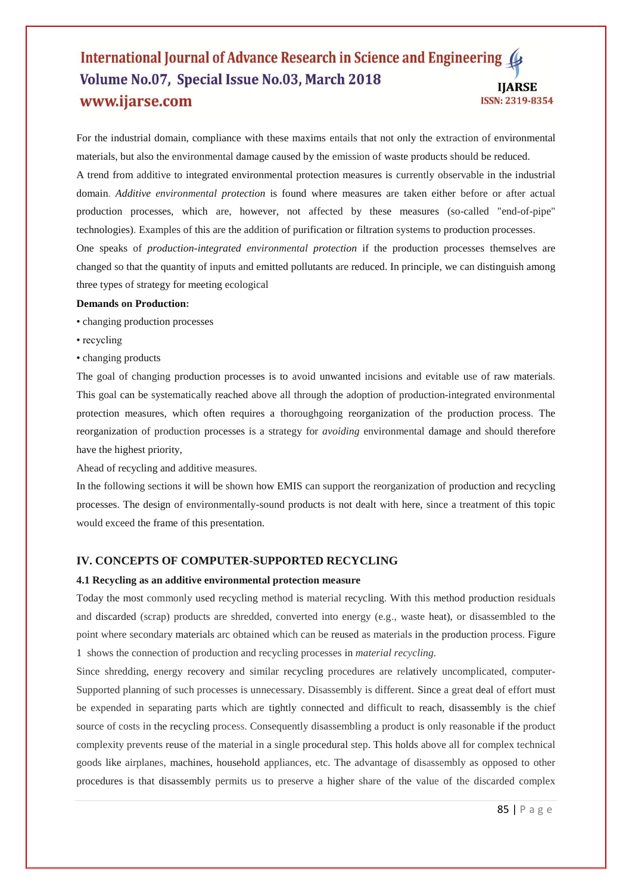For the industrial domain, compliance with these maxims entails that not only the extraction of environmental materials, but also the environmental damage caused by the emission of waste products should be reduced.

A trend from additive to integrated environmental protection measures is currently observable in the industrial domain. *Additive environmental protection* is found where measures are taken either before or after actual production processes, which are, however, not affected by these measures (so-called "end-of-pipe" technologies). Examples of this are the addition of purification or filtration systems to production processes.

One speaks of *production-integrated environmental protection* if the production processes themselves are changed so that the quantity of inputs and emitted pollutants are reduced. In principle, we can distinguish among three types of strategy for meeting ecological

#### **Demands on Production:**

• changing production processes

- recycling
- changing products

The goal of changing production processes is to avoid unwanted incisions and evitable use of raw materials. This goal can be systematically reached above all through the adoption of production-integrated environmental protection measures, which often requires a thoroughgoing reorganization of the production process. The reorganization of production processes is a strategy for *avoiding* environmental damage and should therefore have the highest priority,

Ahead of recycling and additive measures.

In the following sections it will be shown how EMIS can support the reorganization of production and recycling processes. The design of environmentally-sound products is not dealt with here, since a treatment of this topic would exceed the frame of this presentation.

#### **IV. CONCEPTS OF COMPUTER-SUPPORTED RECYCLING**

#### **4.1 Recycling as an additive environmental protection measure**

Today the most commonly used recycling method is material recycling. With this method production residuals and discarded (scrap) products are shredded, converted into energy (e.g., waste heat), or disassembled to the point where secondary materials arc obtained which can be reused as materials in the production process. Figure 1 shows the connection of production and recycling processes in *material recycling.*

Since shredding, energy recovery and similar recycling procedures are relatively uncomplicated, computer-Supported planning of such processes is unnecessary. Disassembly is different. Since a great deal of effort must be expended in separating parts which are tightly connected and difficult to reach, disassembly is the chief source of costs in the recycling process. Consequently disassembling a product is only reasonable if the product complexity prevents reuse of the material in a single procedural step. This holds above all for complex technical goods like airplanes, machines, household appliances, etc. The advantage of disassembly as opposed to other procedures is that disassembly permits us to preserve a higher share of the value of the discarded complex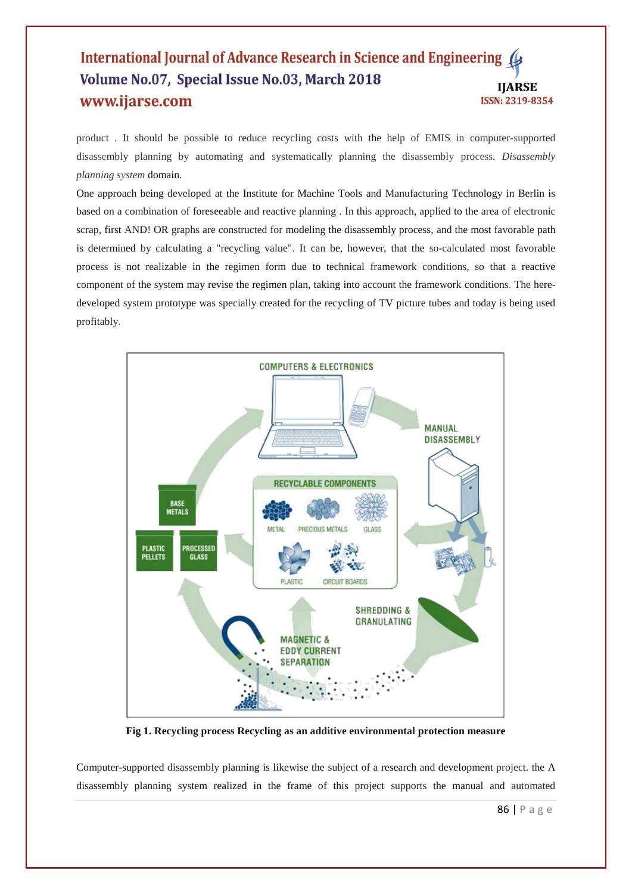product . It should be possible to reduce recycling costs with the help of EMIS in computer-supported disassembly planning by automating and systematically planning the disassembly process. *Disassembly planning system* domain.

One approach being developed at the Institute for Machine Tools and Manufacturing Technology in Berlin is based on a combination of foreseeable and reactive planning . In this approach, applied to the area of electronic scrap, first AND! OR graphs are constructed for modeling the disassembly process, and the most favorable path is determined by calculating a "recycling value". It can be, however, that the so-calculated most favorable process is not realizable in the regimen form due to technical framework conditions, so that a reactive component of the system may revise the regimen plan, taking into account the framework conditions. The heredeveloped system prototype was specially created for the recycling of TV picture tubes and today is being used profitably.



**Fig 1. Recycling process Recycling as an additive environmental protection measure**

Computer-supported disassembly planning is likewise the subject of a research and development project. the A disassembly planning system realized in the frame of this project supports the manual and automated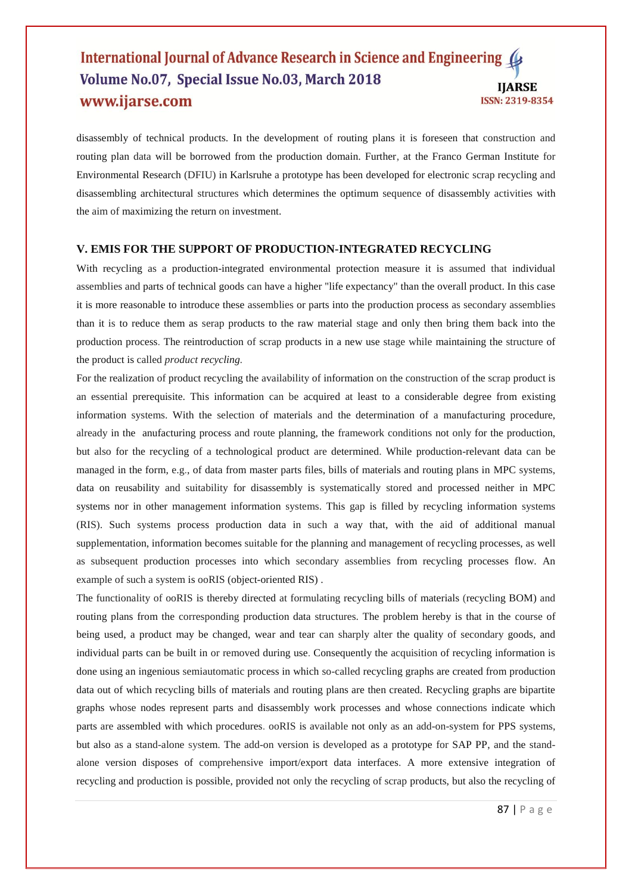disassembly of technical products. In the development of routing plans it is foreseen that construction and routing plan data will be borrowed from the production domain. Further, at the Franco German Institute for Environmental Research (DFIU) in Karlsruhe a prototype has been developed for electronic scrap recycling and disassembling architectural structures which determines the optimum sequence of disassembly activities with the aim of maximizing the return on investment.

## **V. EMIS FOR THE SUPPORT OF PRODUCTION-INTEGRATED RECYCLING**

With recycling as a production-integrated environmental protection measure it is assumed that individual assemblies and parts of technical goods can have a higher "life expectancy" than the overall product. In this case it is more reasonable to introduce these assemblies or parts into the production process as secondary assemblies than it is to reduce them as serap products to the raw material stage and only then bring them back into the production process. The reintroduction of scrap products in a new use stage while maintaining the structure of the product is called *product recycling.*

For the realization of product recycling the availability of information on the construction of the scrap product is an essential prerequisite. This information can be acquired at least to a considerable degree from existing information systems. With the selection of materials and the determination of a manufacturing procedure, already in the anufacturing process and route planning, the framework conditions not only for the production, but also for the recycling of a technological product are determined. While production-relevant data can be managed in the form, e.g., of data from master parts files, bills of materials and routing plans in MPC systems, data on reusability and suitability for disassembly is systematically stored and processed neither in MPC systems nor in other management information systems. This gap is filled by recycling information systems (RIS). Such systems process production data in such a way that, with the aid of additional manual supplementation, information becomes suitable for the planning and management of recycling processes, as well as subsequent production processes into which secondary assemblies from recycling processes flow. An example of such a system is ooRIS (object-oriented RIS) .

The functionality of ooRIS is thereby directed at formulating recycling bills of materials (recycling BOM) and routing plans from the corresponding production data structures. The problem hereby is that in the course of being used, a product may be changed, wear and tear can sharply alter the quality of secondary goods, and individual parts can be built in or removed during use. Consequently the acquisition of recycling information is done using an ingenious semiautomatic process in which so-called recycling graphs are created from production data out of which recycling bills of materials and routing plans are then created. Recycling graphs are bipartite graphs whose nodes represent parts and disassembly work processes and whose connections indicate which parts are assembled with which procedures. ooRIS is available not only as an add-on-system for PPS systems, but also as a stand-alone system. The add-on version is developed as a prototype for SAP PP, and the standalone version disposes of comprehensive import/export data interfaces. A more extensive integration of recycling and production is possible, provided not only the recycling of scrap products, but also the recycling of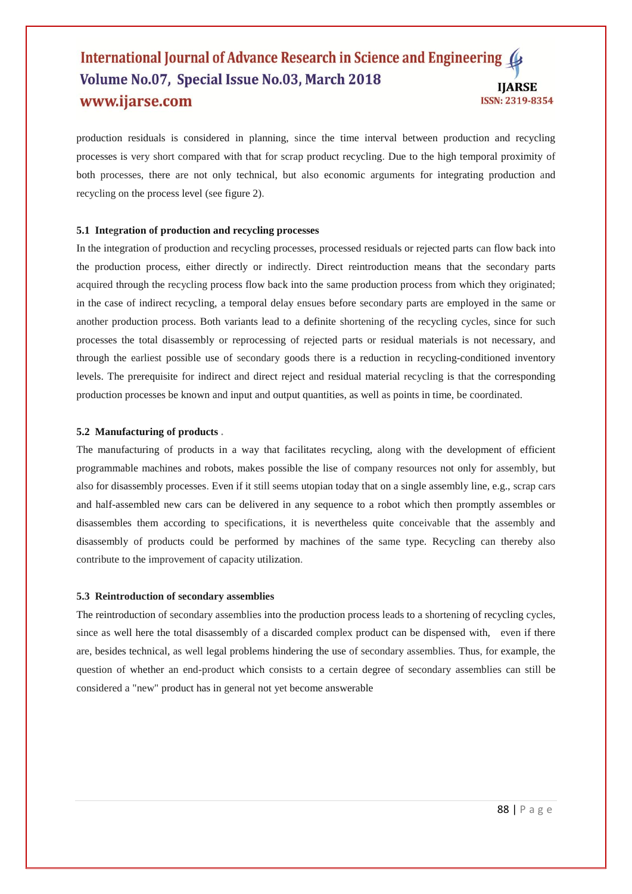production residuals is considered in planning, since the time interval between production and recycling processes is very short compared with that for scrap product recycling. Due to the high temporal proximity of both processes, there are not only technical, but also economic arguments for integrating production and recycling on the process level (see figure 2).

#### **5.1 Integration of production and recycling processes**

In the integration of production and recycling processes, processed residuals or rejected parts can flow back into the production process, either directly or indirectly. Direct reintroduction means that the secondary parts acquired through the recycling process flow back into the same production process from which they originated; in the case of indirect recycling, a temporal delay ensues before secondary parts are employed in the same or another production process. Both variants lead to a definite shortening of the recycling cycles, since for such processes the total disassembly or reprocessing of rejected parts or residual materials is not necessary, and through the earliest possible use of secondary goods there is a reduction in recycling-conditioned inventory levels. The prerequisite for indirect and direct reject and residual material recycling is that the corresponding production processes be known and input and output quantities, as well as points in time, be coordinated.

#### **5.2 Manufacturing of products .**

The manufacturing of products in a way that facilitates recycling, along with the development of efficient programmable machines and robots, makes possible the lise of company resources not only for assembly, but also for disassembly processes. Even if it still seems utopian today that on a single assembly line, e.g., scrap cars and half-assembled new cars can be delivered in any sequence to a robot which then promptly assembles or disassembles them according to specifications, it is nevertheless quite conceivable that the assembly and disassembly of products could be performed by machines of the same type. Recycling can thereby also contribute to the improvement of capacity utilization.

### **5.3 Reintroduction of secondary assemblies**

The reintroduction of secondary assemblies into the production process leads to a shortening of recycling cycles, since as well here the total disassembly of a discarded complex product can be dispensed with, even if there are, besides technical, as well legal problems hindering the use of secondary assemblies. Thus, for example, the question of whether an end-product which consists to a certain degree of secondary assemblies can still be considered a "new" product has in general not yet become answerable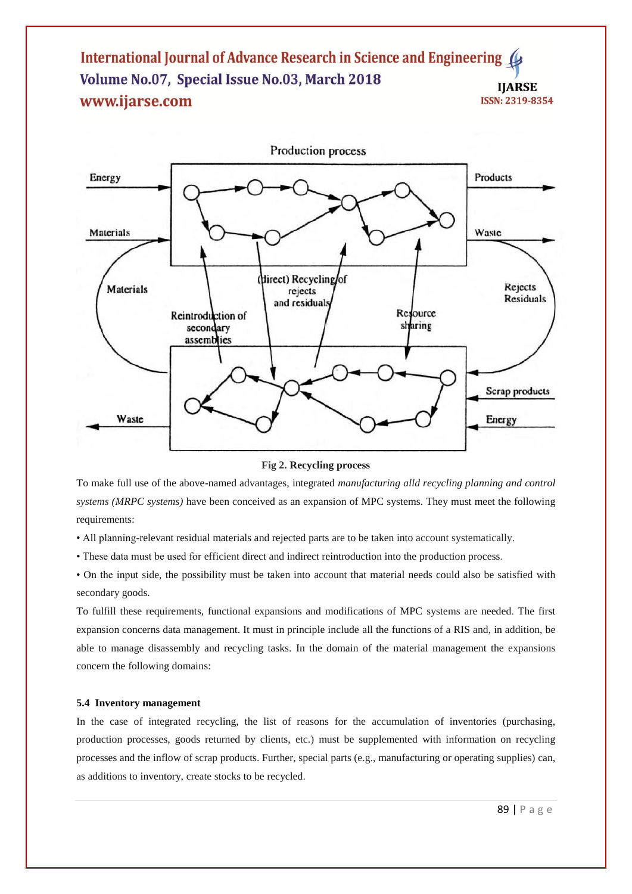

**Fig 2. Recycling process**

To make full use of the above-named advantages, integrated *manufacturing alld recycling planning and control systems (MRPC systems)* have been conceived as an expansion of MPC systems. They must meet the following requirements:

• All planning-relevant residual materials and rejected parts are to be taken into account systematically.

• These data must be used for efficient direct and indirect reintroduction into the production process.

• On the input side, the possibility must be taken into account that material needs could also be satisfied with secondary goods.

To fulfill these requirements, functional expansions and modifications of MPC systems are needed. The first expansion concerns data management. It must in principle include all the functions of a RIS and, in addition, be able to manage disassembly and recycling tasks. In the domain of the material management the expansions concern the following domains:

#### **5.4 Inventory management**

In the case of integrated recycling, the list of reasons for the accumulation of inventories (purchasing, production processes, goods returned by clients, etc.) must be supplemented with information on recycling processes and the inflow of scrap products. Further, special parts (e.g., manufacturing or operating supplies) can, as additions to inventory, create stocks to be recycled.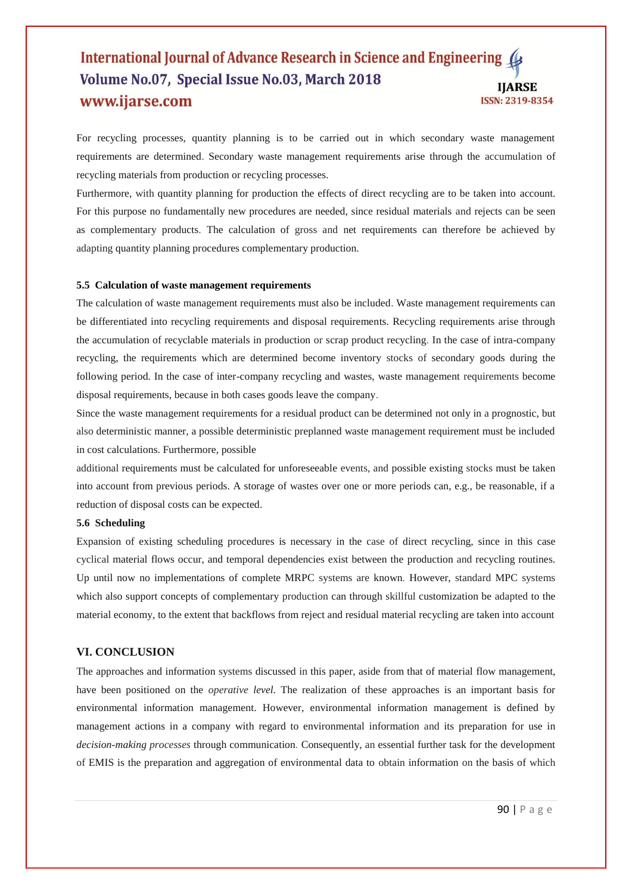For recycling processes, quantity planning is to be carried out in which secondary waste management requirements are determined. Secondary waste management requirements arise through the accumulation of recycling materials from production or recycling processes.

Furthermore, with quantity planning for production the effects of direct recycling are to be taken into account. For this purpose no fundamentally new procedures are needed, since residual materials and rejects can be seen as complementary products. The calculation of gross and net requirements can therefore be achieved by adapting quantity planning procedures complementary production.

#### **5.5 Calculation of waste management requirements**

The calculation of waste management requirements must also be included. Waste management requirements can be differentiated into recycling requirements and disposal requirements. Recycling requirements arise through the accumulation of recyclable materials in production or scrap product recycling. In the case of intra-company recycling, the requirements which are determined become inventory stocks of secondary goods during the following period. In the case of inter-company recycling and wastes, waste management requirements become disposal requirements, because in both cases goods leave the company.

Since the waste management requirements for a residual product can be determined not only in a prognostic, but also deterministic manner, a possible deterministic preplanned waste management requirement must be included in cost calculations. Furthermore, possible

additional requirements must be calculated for unforeseeable events, and possible existing stocks must be taken into account from previous periods. A storage of wastes over one or more periods can, e.g., be reasonable, if a reduction of disposal costs can be expected.

#### **5.6 Scheduling**

Expansion of existing scheduling procedures is necessary in the case of direct recycling, since in this case cyclical material flows occur, and temporal dependencies exist between the production and recycling routines. Up until now no implementations of complete MRPC systems are known. However, standard MPC systems which also support concepts of complementary production can through skillful customization be adapted to the material economy, to the extent that backflows from reject and residual material recycling are taken into account

#### **VI. CONCLUSION**

The approaches and information systems discussed in this paper, aside from that of material flow management, have been positioned on the *operative level.* The realization of these approaches is an important basis for environmental information management. However, environmental information management is defined by management actions in a company with regard to environmental information and its preparation for use in *decision-making processes* through communication. Consequently, an essential further task for the development of EMIS is the preparation and aggregation of environmental data to obtain information on the basis of which